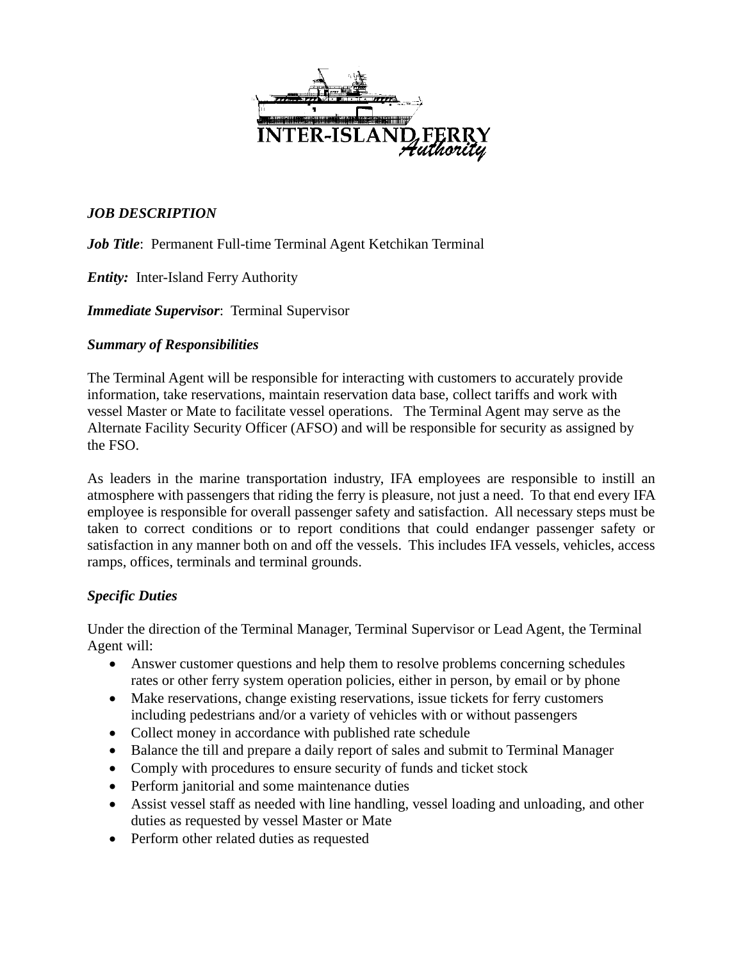

# *JOB DESCRIPTION*

*Job Title*: Permanent Full-time Terminal Agent Ketchikan Terminal

*Entity:* Inter-Island Ferry Authority

*Immediate Supervisor*: Terminal Supervisor

## *Summary of Responsibilities*

The Terminal Agent will be responsible for interacting with customers to accurately provide information, take reservations, maintain reservation data base, collect tariffs and work with vessel Master or Mate to facilitate vessel operations. The Terminal Agent may serve as the Alternate Facility Security Officer (AFSO) and will be responsible for security as assigned by the FSO.

As leaders in the marine transportation industry, IFA employees are responsible to instill an atmosphere with passengers that riding the ferry is pleasure, not just a need. To that end every IFA employee is responsible for overall passenger safety and satisfaction. All necessary steps must be taken to correct conditions or to report conditions that could endanger passenger safety or satisfaction in any manner both on and off the vessels. This includes IFA vessels, vehicles, access ramps, offices, terminals and terminal grounds.

## *Specific Duties*

Under the direction of the Terminal Manager, Terminal Supervisor or Lead Agent, the Terminal Agent will:

- Answer customer questions and help them to resolve problems concerning schedules rates or other ferry system operation policies, either in person, by email or by phone
- Make reservations, change existing reservations, issue tickets for ferry customers including pedestrians and/or a variety of vehicles with or without passengers
- Collect money in accordance with published rate schedule
- Balance the till and prepare a daily report of sales and submit to Terminal Manager
- Comply with procedures to ensure security of funds and ticket stock
- Perform janitorial and some maintenance duties
- Assist vessel staff as needed with line handling, vessel loading and unloading, and other duties as requested by vessel Master or Mate
- Perform other related duties as requested